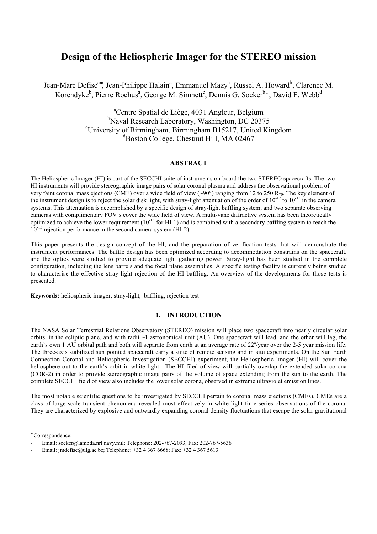# **Design of the Heliospheric Imager for the STEREO mission**

Jean-Marc Defise<sup>a∗</sup>, Jean-Philippe Halain<sup>a</sup>, Emmanuel Mazy<sup>a</sup>, Russel A. Howard<sup>b</sup>, Clarence M. Korendyke<sup>b</sup>, Pierre Rochus<sup>a</sup>, George M. Simnett<sup>c</sup>, Dennis G. Socker<sup>b\*</sup>, David F. Webb<sup>d</sup>

> a Centre Spatial de Liège, 4031 Angleur, Belgium <sup>b</sup>Naval Research Laboratory, Washington, DC 20375<sup>c</sup>University of Birmingham Birmingham B15217 United Ki  $\text{``University of Birmingham, Birmingham B15217, United Kingdom}$ d Boston College, Chestnut Hill, MA 02467

#### **ABSTRACT**

The Heliospheric Imager (HI) is part of the SECCHI suite of instruments on-board the two STEREO spacecrafts. The two HI instruments will provide stereographic image pairs of solar coronal plasma and address the observational problem of very faint coronal mass ejections (CME) over a wide field of view  $(\sim 90^\circ)$  ranging from 12 to 250 R-<sub>0</sub>. The key element of the instrument design is to reject the solar disk light, with stray-light attenuation of the order of  $10^{-12}$  to  $10^{-15}$  in the camera systems. This attenuation is accomplished by a specific design of stray-light baffling system, and two separate observing cameras with complimentary FOV's cover the wide field of view. A multi-vane diffractive system has been theoretically optimized to achieve the lower requirement  $(10^{-13}$  for HI-1) and is combined with a secondary baffling system to reach the  $10^{-15}$  rejection performance in the second camera system (HI-2).

This paper presents the design concept of the HI, and the preparation of verification tests that will demonstrate the instrument performances. The baffle design has been optimized according to accommodation constrains on the spacecraft, and the optics were studied to provide adequate light gathering power. Stray-light has been studied in the complete configuration, including the lens barrels and the focal plane assemblies. A specific testing facility is currently being studied to characterise the effective stray-light rejection of the HI baffling. An overview of the developments for those tests is presented.

**Keywords:** heliospheric imager, stray-light, baffling, rejection test

#### **1. INTRODUCTION**

The NASA Solar Terrestrial Relations Observatory (STEREO) mission will place two spacecraft into nearly circular solar orbits, in the ecliptic plane, and with radii  $\sim$ 1 astronomical unit (AU). One spacecraft will lead, and the other will lag, the earth's own 1 AU orbital path and both will separate from earth at an average rate of 22°/year over the 2-5 year mission life. The three-axis stabilized sun pointed spacecraft carry a suite of remote sensing and in situ experiments. On the Sun Earth Connection Coronal and Heliospheric Investigation (SECCHI) experiment, the Heliospheric Imager (HI) will cover the heliosphere out to the earth's orbit in white light. The HI filed of view will partially overlap the extended solar corona (COR-2) in order to provide stereographic image pairs of the volume of space extending from the sun to the earth. The complete SECCHI field of view also includes the lower solar corona, observed in extreme ultraviolet emission lines.

The most notable scientific questions to be investigated by SECCHI pertain to coronal mass ejections (CMEs). CMEs are a class of large-scale transient phenomena revealed most effectively in white light time-series observations of the corona. They are characterized by explosive and outwardly expanding coronal density fluctuations that escape the solar gravitational

∗ Correspondence:

-

<sup>-</sup> Email: socker@lambda.nrl.navy.mil; Telephone: 202-767-2093; Fax: 202-767-5636

Email: jmdefise@ulg.ac.be; Telephone: +32 4 367 6668; Fax: +32 4 367 5613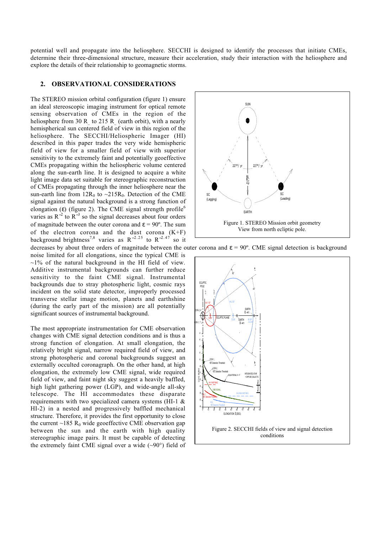potential well and propagate into the heliosphere. SECCHI is designed to identify the processes that initiate CMEs, determine their three-dimensional structure, measure their acceleration, study their interaction with the heliosphere and explore the details of their relationship to geomagnetic storms.

#### **2. OBSERVATIONAL CONSIDERATIONS**

The STEREO mission orbital configuration (figure 1) ensure an ideal stereoscopic imaging instrument for optical remote sensing observation of CMEs in the region of the heliosphere from 30 R to 215 R (earth orbit), with a nearly hemispherical sun centered field of view in this region of the heliosphere. The SECCHI/Heliospheric Imager (HI) described in this paper trades the very wide hemispheric field of view for a smaller field of view with superior sensitivity to the extremely faint and potentially geoeffective CMEs propagating within the heliospheric volume centered along the sun-earth line. It is designed to acquire a white light image data set suitable for stereographic reconstruction of CMEs propagating through the inner heliosphere near the sun-earth line from  $12R_0$  to  $\sim 215R_0$ . Detection of the CME signal against the natural background is a strong function of elongation (ε) (figure 2). The CME signal strength profile<sup>6</sup> varies as  $R^{-2}$  to  $R^{-3}$  so the signal decreases about four orders of magnitude between the outer corona and  $\epsilon = 90^{\circ}$ . The sum of the electron corona and the dust corona  $(K+F)$ background brightness<sup>7,8</sup> varies as R<sup>-2.25</sup> to R<sup>-2.47</sup> so it

noise limited for all elongations, since the typical CME is  $\sim$ 1% of the natural background in the HI field of view. Additive instrumental backgrounds can further reduce sensitivity to the faint CME signal. Instrumental backgrounds due to stray photospheric light, cosmic rays incident on the solid state detector, improperly processed transverse stellar image motion, planets and earthshine (during the early part of the mission) are all potentially significant sources of instrumental background.

The most appropriate instrumentation for CME observation changes with CME signal detection conditions and is thus a strong function of elongation. At small elongation, the relatively bright signal, narrow required field of view, and strong photospheric and coronal backgrounds suggest an externally occulted coronagraph. On the other hand, at high elongation, the extremely low CME signal, wide required field of view, and faint night sky suggest a heavily baffled, high light gathering power (LGP), and wide-angle all-sky telescope. The HI accommodates these disparate requirements with two specialized camera systems (HI-1 & HI-2) in a nested and progressively baffled mechanical structure. Therefore, it provides the first opportunity to close the current  $\sim$ 185 R<sub>0</sub> wide geoeffective CME observation gap between the sun and the earth with high quality stereographic image pairs. It must be capable of detecting the extremely faint CME signal over a wide  $(\sim 90^{\circ})$  field of



decreases by about three orders of magnitude between the outer corona and  $\epsilon = 90^{\circ}$ . CME signal detection is background

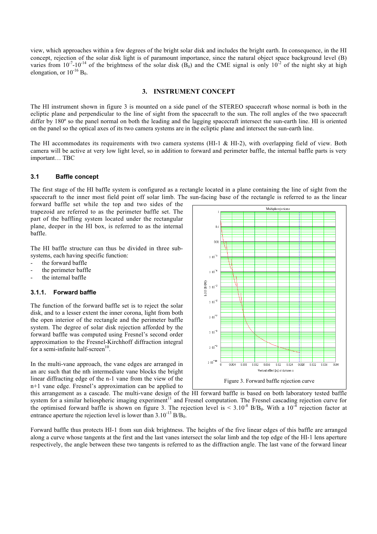view, which approaches within a few degrees of the bright solar disk and includes the bright earth. In consequence, in the HI concept, rejection of the solar disk light is of paramount importance, since the natural object space background level (B) varies from  $10^{-7}$ -10<sup>-14</sup> of the brightness of the solar disk (B<sub>0</sub>) and the CME signal is only  $10^{-2}$  of the night sky at high elongation, or  $10^{-16}$  B<sub>0</sub>.

## **3. INSTRUMENT CONCEPT**

The HI instrument shown in figure 3 is mounted on a side panel of the STEREO spacecraft whose normal is both in the ecliptic plane and perpendicular to the line of sight from the spacecraft to the sun. The roll angles of the two spacecraft differ by 180° so the panel normal on both the leading and the lagging spacecraft intersect the sun-earth line. HI is oriented on the panel so the optical axes of its two camera systems are in the ecliptic plane and intersect the sun-earth line.

The HI accommodates its requirements with two camera systems (HI-1 & HI-2), with overlapping field of view. Both camera will be active at very low light level, so in addition to forward and perimeter baffle, the internal baffle parts is very important… TBC

## **3.1 Baffle concept**

The first stage of the HI baffle system is configured as a rectangle located in a plane containing the line of sight from the spacecraft to the inner most field point off solar limb. The sun-facing base of the rectangle is referred to as the linear

forward baffle set while the top and two sides of the trapezoid are referred to as the perimeter baffle set. The part of the baffling system located under the rectangular plane, deeper in the HI box, is referred to as the internal baffle.

The HI baffle structure can thus be divided in three subsystems, each having specific function:

- the forward baffle
- the perimeter baffle
- the internal baffle

# **3.1.1. Forward baffle**

The function of the forward baffle set is to reject the solar disk, and to a lesser extent the inner corona, light from both the open interior of the rectangle and the perimeter baffle system. The degree of solar disk rejection afforded by the forward baffle was computed using Fresnel's second order approximation to the Fresnel-Kirchhoff diffraction integral for a semi-infinite half-screen $10$ .

In the multi-vane approach, the vane edges are arranged in an arc such that the nth intermediate vane blocks the bright linear diffracting edge of the n-1 vane from the view of the n+1 vane edge. Fresnel's approximation can be applied to



this arrangement as a cascade. The multi-vane design of the HI forward baffle is based on both laboratory tested baffle system for a similar heliospheric imaging experiment $11$  and Fresnel computation. The Fresnel cascading rejection curve for the optimised forward baffle is shown on figure 3. The rejection level is  $\leq 3.10^{-8}$  B/B<sub>0</sub>. With a 10<sup>-4</sup> rejection factor at entrance aperture the rejection level is lower than  $3.10^{-13}$  B/B<sub>0</sub>.

Forward baffle thus protects HI-1 from sun disk brightness. The heights of the five linear edges of this baffle are arranged along a curve whose tangents at the first and the last vanes intersect the solar limb and the top edge of the HI-1 lens aperture respectively, the angle between these two tangents is referred to as the diffraction angle. The last vane of the forward linear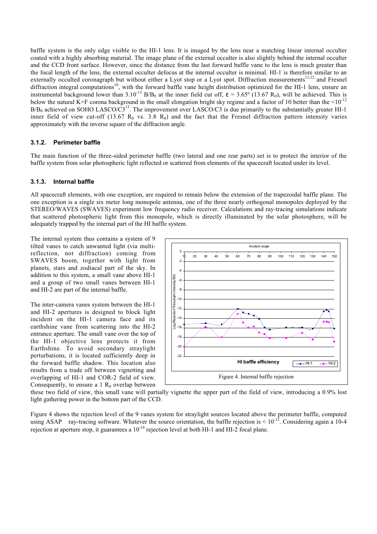baffle system is the only edge visible to the HI-1 lens. It is imaged by the lens near a matching linear internal occulter coated with a highly absorbing material. The image plane of the external occulter is also slightly behind the internal occulter and the CCD front surface. However, since the distance from the last forward baffle vane to the lens is much greater than the focal length of the lens, the external occulter defocus at the internal occulter is minimal. HI-1 is therefore similar to an externally occulted coronagraph but without either a Lyot stop or a Lyot spot. Diffraction measurements<sup>11,12</sup> and Fresnel diffraction integral computations<sup>10</sup>, with the forward baffle vane height distribution optimized for the HI-1 lens, ensure an instrumental background lower than  $3.10^{-13}$  B/B<sub>0</sub> at the inner field cut off,  $\varepsilon = 3.65^\circ$  (13.67 R<sub>0</sub>), will be achieved. This is below the natural K+F corona background in the small elongation bright sky regime and a factor of 10 better than the  $\leq 10^{-12}$  $B/B<sub>0</sub>$  achieved on SOHO LASCO/C3<sup>13</sup>. The improvement over LASCO/C3 is due primarily to the substantially greater HI-1 inner field of view cut-off (13.67  $R_0$  vs. 3.8  $R_0$ ) and the fact that the Fresnel diffraction pattern intensity varies approximately with the inverse square of the diffraction angle.

## **3.1.2. Perimeter baffle**

The main function of the three-sided perimeter baffle (two lateral and one rear parts) set is to protect the interior of the baffle system from solar photospheric light reflected or scattered from elements of the spacecraft located under its level.

#### **3.1.3. Internal baffle**

All spacecraft elements, with one exception, are required to remain below the extension of the trapezoidal baffle plane. The one exception is a single six meter long monopole antenna, one of the three nearly orthogonal monopoles deployed by the STEREO/WAVES (SWAVES) experiment low frequency radio receiver. Calculations and ray-tracing simulations indicate that scattered photospheric light from this monopole, which is directly illuminated by the solar photosphere, will be adequately trapped by the internal part of the HI baffle system.

The internal system thus contains a system of 9 tilted vanes to catch unwanted light (via multireflection, not diffraction) coming from SWAVES boom, together with light from planets, stars and zodiacal part of the sky. In addition to this system, a small vane above HI-1 and a group of two small vanes between HI-1 and HI-2 are part of the internal baffle.

The inter-camera vanes system between the HI-1 and HI-2 apertures is designed to block light incident on the HI-1 camera face and its earthshine vane from scattering into the HI-2 entrance aperture. The small vane over the top of the HI-1 objective lens protects it from Earthshine. To avoid secondary straylight perturbations, it is located sufficiently deep in the forward baffle shadow. This location also results from a trade off between vignetting and overlapping of HI-1 and COR-2 field of view. Consequently, to ensure a 1  $R_0$  overlap between



these two field of view, this small vane will partially vignette the upper part of the field of view, introducing a 0.9% lost light gathering power in the bottom part of the CCD.

Figure 4 shows the rejection level of the 9 vanes system for straylight sources located above the perimeter baffle, computed using ASAP<sup>TM</sup> ray-tracing software. Whatever the source orientation, the baffle rejection is  $\leq 10^{-12}$ . Considering again a 10-4 rejection at aperture stop, it guarantees a  $10^{-16}$  rejection level at both HI-1 and HI-2 focal plane.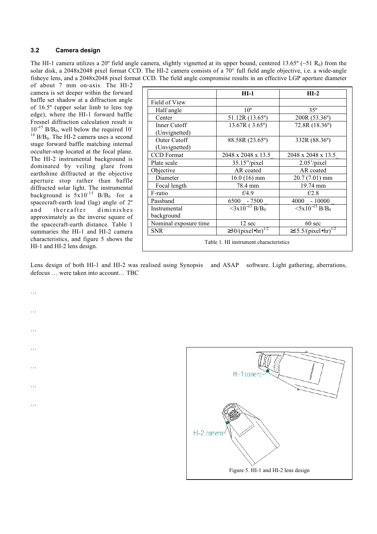# **3.2 Camera design**

The HI-1 camera utilizes a 20° field angle camera, slightly vignetted at its upper bound, centered 13.65° (~51 R<sub>0</sub>) from the solar disk, a 2048x2048 pixel format CCD. The HI-2 camera consists of a 70° full field angle objective, i.e. a wide-angle fisheye lens, and a 2048x2048 pixel format CCD. The field angle compromise results in an effective LGP aperture diameter

of about 7 mm on-axis. The HI-2 camera is set deeper within the forward baffle set shadow at a diffraction angle of 16.5º (upper solar limb to lens top edge), where the HI-1 forward baffle Fresnel diffraction calculation result is  $10^{-15}$  B/B<sub>0</sub>, well below the required 10<sup>-15</sup>  $14$  B/B<sub>0</sub>. The HI-2 camera uses a second stage forward baffle matching internal occulter-stop located at the focal plane. The HI-2 instrumental background is dominated by veiling glare from earthshine diffracted at the objective aperture stop rather than baffle diffracted solar light. The instrumental background is  $5x10^{-15}$  B/B<sub>0</sub> for a spacecraft-earth lead (lag) angle of 2º and thereafter diminishes approximately as the inverse square of the spacecraft-earth distance. Table 1 summaries the HI-1 and HI-2 camera characteristics, and figure 5 shows the HI-1 and HI-2 lens design.

…

…

…

…

…

…

…

|                       | $HI-1$                                 | $HI-2$                                |
|-----------------------|----------------------------------------|---------------------------------------|
|                       |                                        |                                       |
| Field of View         |                                        |                                       |
| Half angle            | 10 <sup>o</sup>                        | $35^\circ$                            |
| Center                | $51.12R(13.65^{\circ})$                | 200R (53.36°)                         |
| Inner Cutoff          | 13.67R (3.65°)                         | 72.8R (18.36°)                        |
| (Unvignetted)         |                                        |                                       |
| Outer Cutoff          | 88.58R (23.65°)                        | 332R (88.36°)                         |
| (Unvignetted)         |                                        |                                       |
| <b>CCD</b> Format     | 2048 x 2048 x 13.5                     | 2048 x 2048 x 13.5                    |
| Plate scale           | $35.15$ "/pixel                        | 2.05'/pixel                           |
| Objective             | AR coated                              | AR coated                             |
| Diameter              | $16.0(16)$ mm                          | 20.7 (7.01) mm                        |
| Focal length          | 78.4 mm                                | 19.74 mm                              |
| F-ratio               | f/4.9                                  | f/2.8                                 |
| Passband              | 6500 - 7500                            | $4000 - 10000$                        |
| Instrumental          | $\langle 3x10^{-13} B/B_0 \rangle$     | $5x10^{-15}$ B/B <sub>0</sub>         |
| background            |                                        |                                       |
| Nominal exposure time | 12 sec                                 | 60 sec                                |
| <b>SNR</b>            | $\geq$ 30/(pixel•hr) <sup>1/2</sup>    | $\geq$ 15.5/(pixel•hr) <sup>1/2</sup> |
|                       | Table 1. HI instrument characteristics |                                       |

Lens design of both HI-1 and HI-2 was realised using Synopsis™ and ASAP™ software. Light gathering, aberrations, defocus … were taken into account… TBC

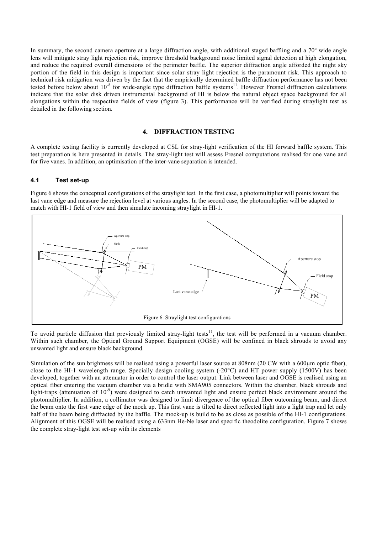In summary, the second camera aperture at a large diffraction angle, with additional staged baffling and a 70º wide angle lens will mitigate stray light rejection risk, improve threshold background noise limited signal detection at high elongation, and reduce the required overall dimensions of the perimeter baffle. The superior diffraction angle afforded the night sky portion of the field in this design is important since solar stray light rejection is the paramount risk. This approach to technical risk mitigation was driven by the fact that the empirically determined baffle diffraction performance has not been tested before below about  $10^{-8}$  for wide-angle type diffraction baffle systems<sup>11</sup>. However Fresnel diffraction calculations indicate that the solar disk driven instrumental background of HI is below the natural object space background for all elongations within the respective fields of view (figure 3). This performance will be verified during straylight test as detailed in the following section.

## **4. DIFFRACTION TESTING**

A complete testing facility is currently developed at CSL for stray-light verification of the HI forward baffle system. This test preparation is here presented in details. The stray-light test will assess Fresnel computations realised for one vane and for five vanes. In addition, an optimisation of the inter-vane separation is intended.

## **4.1 Test set-up**

Figure 6 shows the conceptual configurations of the straylight test. In the first case, a photomultiplier will points toward the last vane edge and measure the rejection level at various angles. In the second case, the photomultiplier will be adapted to match with HI-1 field of view and then simulate incoming straylight in HI-1.



To avoid particle diffusion that previously limited stray-light tests<sup>11</sup>, the test will be performed in a vacuum chamber. Within such chamber, the Optical Ground Support Equipment (OGSE) will be confined in black shrouds to avoid any unwanted light and ensure black background.

Simulation of the sun brightness will be realised using a powerful laser source at 808nm (20 CW with a 600µm optic fiber), close to the HI-1 wavelength range. Specially design cooling system (-20°C) and HT power supply (1500V) has been developed, together with an attenuator in order to control the laser output. Link between laser and OGSE is realised using an optical fiber entering the vacuum chamber via a bridle with SMA905 connectors. Within the chamber, black shrouds and light-traps (attenuation of  $10^{-9}$ ) were designed to catch unwanted light and ensure perfect black environment around the photomultiplier. In addition, a collimator was designed to limit divergence of the optical fiber outcoming beam, and direct the beam onto the first vane edge of the mock up. This first vane is tilted to direct reflected light into a light trap and let only half of the beam being diffracted by the baffle. The mock-up is build to be as close as possible of the HI-1 configurations. Alignment of this OGSE will be realised using a 633nm He-Ne laser and specific theodolite configuration. Figure 7 shows the complete stray-light test set-up with its elements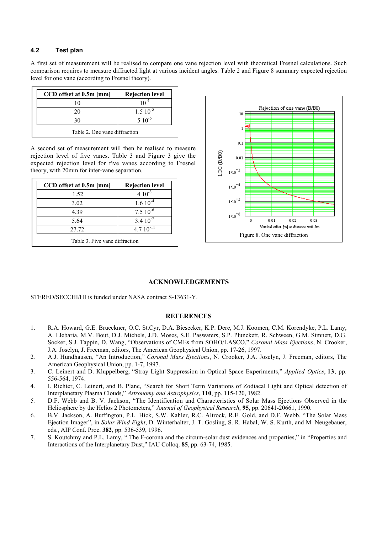# **4.2 Test plan**

A first set of measurement will be realised to compare one vane rejection level with theoretical Fresnel calculations. Such comparison requires to measure diffracted light at various incident angles. Table 2 and Figure 8 summary expected rejection level for one vane (according to Fresnel theory).

| CCD offset at 0.5m [mm]       | <b>Rejection level</b> |  |
|-------------------------------|------------------------|--|
|                               |                        |  |
| 20                            | $1.510^{-5}$           |  |
| 30                            | $5 \; 10^{-6}$         |  |
| Table 2. One vane diffraction |                        |  |

A second set of measurement will then be realised to measure rejection level of five vanes. Table 3 and Figure 3 give the expected rejection level for five vanes according to Fresnel theory, with 20mm for inter-vane separation.

| <b>Rejection level</b> |
|------------------------|
| $410^{-3}$             |
| $1.610-4$              |
| $7.510^{-6}$           |
| $3.410^{-7}$           |
| $4.710^{-11}$          |
|                        |



## **ACKNOWLEDGEMENTS**

STEREO/SECCHI/HI is funded under NASA contract S-13631-Y.

## **REFERENCES**

- 1. R.A. Howard, G.E. Brueckner, O.C. St.Cyr, D.A. Biesecker, K.P. Dere, M.J. Koomen, C.M. Korendyke, P.L. Lamy, A. Llebaria, M.V. Bout, D.J. Michels, J.D. Moses, S.E. Paswaters, S.P. Plunckett, R. Schween, G.M. Simnett, D.G. Socker, S.J. Tappin, D. Wang, "Observations of CMEs from SOHO/LASCO," *Coronal Mass Ejections*, N. Crooker, J.A. Joselyn, J. Freeman, editors, The American Geophysical Union, pp. 17-26, 1997.
- 2. A.J. Hundhausen, "An Introduction," *Coronal Mass Ejections*, N. Crooker, J.A. Joselyn, J. Freeman, editors, The American Geophysical Union, pp. 1-7, 1997.
- 3. C. Leinert and D. Kluppelberg, "Stray Light Suppression in Optical Space Experiments," *Applied Optics*, **13**, pp. 556-564, 1974.
- 4. I. Richter, C. Leinert, and B. Planc, "Search for Short Term Variations of Zodiacal Light and Optical detection of Interplanetary Plasma Clouds," *Astronomy and Astrophysics*, **110**, pp. 115-120, 1982.
- 5. D.F. Webb and B. V. Jackson, "The Identification and Characteristics of Solar Mass Ejections Observed in the Heliosphere by the Helios 2 Photometers," *Journal of Geophysical Research*, **95**, pp. 20641-20661, 1990.
- 6. B.V. Jackson, A. Buffington, P.L. Hick, S.W. Kahler, R.C. Altrock, R.E. Gold, and D.F. Webb, "The Solar Mass Ejection Imager", in *Solar Wind Eight*, D. Winterhalter, J. T. Gosling, S. R. Habal, W. S. Kurth, and M. Neugebauer, eds., AIP Conf. Proc. **382**, pp. 536-539, 1996.
- 7. S. Koutchmy and P.L. Lamy, " The F-corona and the circum-solar dust evidences and properties," in "Properties and Interactions of the Interplanetary Dust," IAU Colloq. **85**, pp. 63-74, 1985.